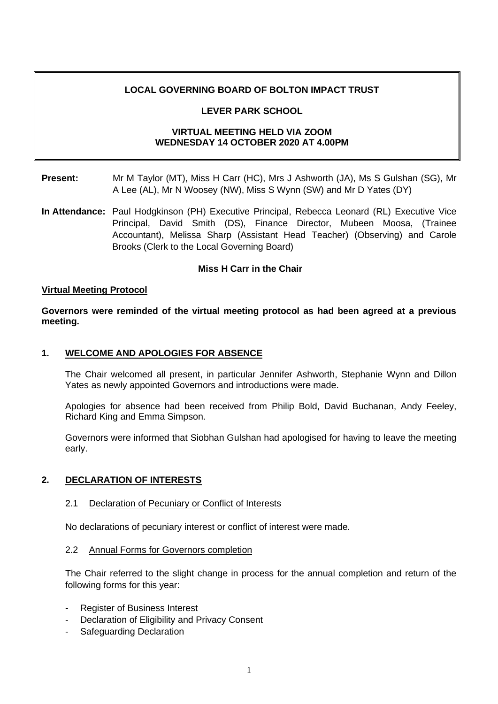# **LOCAL GOVERNING BOARD OF BOLTON IMPACT TRUST**

# **LEVER PARK SCHOOL**

# **VIRTUAL MEETING HELD VIA ZOOM WEDNESDAY 14 OCTOBER 2020 AT 4.00PM**

- **Present:** Mr M Taylor (MT), Miss H Carr (HC), Mrs J Ashworth (JA), Ms S Gulshan (SG), Mr A Lee (AL), Mr N Woosey (NW), Miss S Wynn (SW) and Mr D Yates (DY)
- **In Attendance:** Paul Hodgkinson (PH) Executive Principal, Rebecca Leonard (RL) Executive Vice Principal, David Smith (DS), Finance Director, Mubeen Moosa, (Trainee Accountant), Melissa Sharp (Assistant Head Teacher) (Observing) and Carole Brooks (Clerk to the Local Governing Board)

# **Miss H Carr in the Chair**

### **Virtual Meeting Protocol**

**Governors were reminded of the virtual meeting protocol as had been agreed at a previous meeting.**

### **1. WELCOME AND APOLOGIES FOR ABSENCE**

The Chair welcomed all present, in particular Jennifer Ashworth, Stephanie Wynn and Dillon Yates as newly appointed Governors and introductions were made.

Apologies for absence had been received from Philip Bold, David Buchanan, Andy Feeley, Richard King and Emma Simpson.

Governors were informed that Siobhan Gulshan had apologised for having to leave the meeting early.

# **2. DECLARATION OF INTERESTS**

#### 2.1 Declaration of Pecuniary or Conflict of Interests

No declarations of pecuniary interest or conflict of interest were made.

#### 2.2 Annual Forms for Governors completion

The Chair referred to the slight change in process for the annual completion and return of the following forms for this year:

- Register of Business Interest
- Declaration of Eligibility and Privacy Consent
- Safeguarding Declaration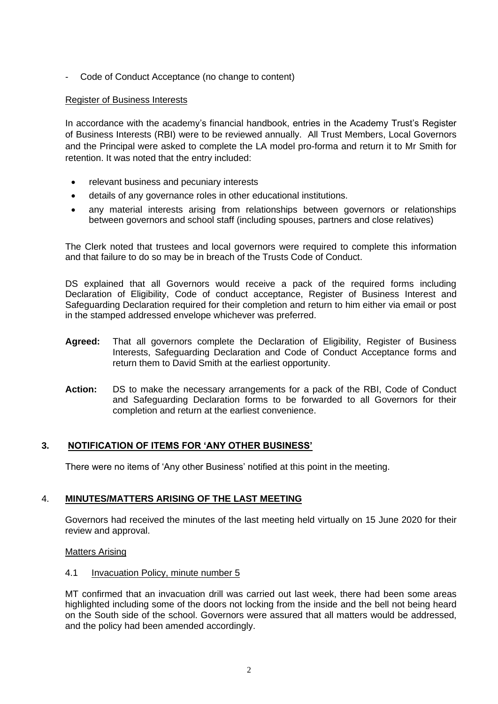- Code of Conduct Acceptance (no change to content)

# Register of Business Interests

In accordance with the academy's financial handbook, entries in the Academy Trust's Register of Business Interests (RBI) were to be reviewed annually. All Trust Members, Local Governors and the Principal were asked to complete the LA model pro-forma and return it to Mr Smith for retention. It was noted that the entry included:

- relevant business and pecuniary interests
- details of any governance roles in other educational institutions.
- any material interests arising from relationships between governors or relationships between governors and school staff (including spouses, partners and close relatives)

The Clerk noted that trustees and local governors were required to complete this information and that failure to do so may be in breach of the Trusts Code of Conduct.

DS explained that all Governors would receive a pack of the required forms including Declaration of Eligibility, Code of conduct acceptance, Register of Business Interest and Safeguarding Declaration required for their completion and return to him either via email or post in the stamped addressed envelope whichever was preferred.

- **Agreed:** That all governors complete the Declaration of Eligibility, Register of Business Interests, Safeguarding Declaration and Code of Conduct Acceptance forms and return them to David Smith at the earliest opportunity.
- **Action:** DS to make the necessary arrangements for a pack of the RBI, Code of Conduct and Safeguarding Declaration forms to be forwarded to all Governors for their completion and return at the earliest convenience.

# **3. NOTIFICATION OF ITEMS FOR 'ANY OTHER BUSINESS'**

There were no items of 'Any other Business' notified at this point in the meeting.

# 4. **MINUTES/MATTERS ARISING OF THE LAST MEETING**

Governors had received the minutes of the last meeting held virtually on 15 June 2020 for their review and approval.

# Matters Arising

# 4.1 Invacuation Policy, minute number 5

MT confirmed that an invacuation drill was carried out last week, there had been some areas highlighted including some of the doors not locking from the inside and the bell not being heard on the South side of the school. Governors were assured that all matters would be addressed, and the policy had been amended accordingly.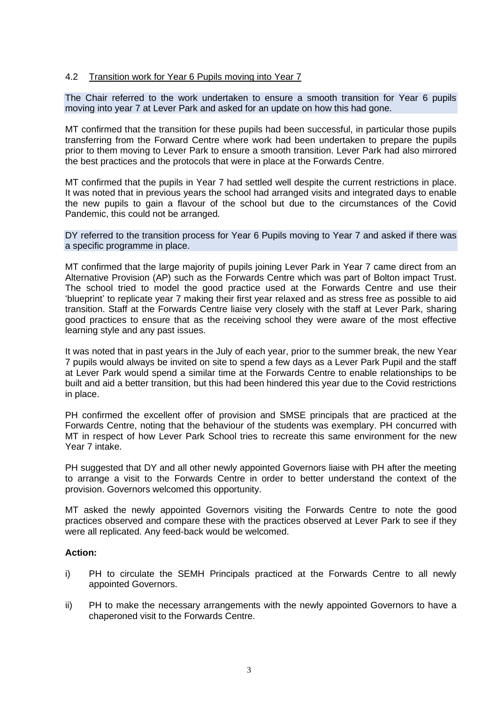# 4.2 Transition work for Year 6 Pupils moving into Year 7

The Chair referred to the work undertaken to ensure a smooth transition for Year 6 pupils moving into year 7 at Lever Park and asked for an update on how this had gone.

MT confirmed that the transition for these pupils had been successful, in particular those pupils transferring from the Forward Centre where work had been undertaken to prepare the pupils prior to them moving to Lever Park to ensure a smooth transition. Lever Park had also mirrored the best practices and the protocols that were in place at the Forwards Centre.

MT confirmed that the pupils in Year 7 had settled well despite the current restrictions in place. It was noted that in previous years the school had arranged visits and integrated days to enable the new pupils to gain a flavour of the school but due to the circumstances of the Covid Pandemic, this could not be arranged.

#### DY referred to the transition process for Year 6 Pupils moving to Year 7 and asked if there was a specific programme in place.

MT confirmed that the large majority of pupils joining Lever Park in Year 7 came direct from an Alternative Provision (AP) such as the Forwards Centre which was part of Bolton impact Trust. The school tried to model the good practice used at the Forwards Centre and use their 'blueprint' to replicate year 7 making their first year relaxed and as stress free as possible to aid transition. Staff at the Forwards Centre liaise very closely with the staff at Lever Park, sharing good practices to ensure that as the receiving school they were aware of the most effective learning style and any past issues.

It was noted that in past years in the July of each year, prior to the summer break, the new Year 7 pupils would always be invited on site to spend a few days as a Lever Park Pupil and the staff at Lever Park would spend a similar time at the Forwards Centre to enable relationships to be built and aid a better transition, but this had been hindered this year due to the Covid restrictions in place.

PH confirmed the excellent offer of provision and SMSE principals that are practiced at the Forwards Centre, noting that the behaviour of the students was exemplary. PH concurred with MT in respect of how Lever Park School tries to recreate this same environment for the new Year 7 intake.

PH suggested that DY and all other newly appointed Governors liaise with PH after the meeting to arrange a visit to the Forwards Centre in order to better understand the context of the provision. Governors welcomed this opportunity.

MT asked the newly appointed Governors visiting the Forwards Centre to note the good practices observed and compare these with the practices observed at Lever Park to see if they were all replicated. Any feed-back would be welcomed.

# **Action:**

- i) PH to circulate the SEMH Principals practiced at the Forwards Centre to all newly appointed Governors.
- ii) PH to make the necessary arrangements with the newly appointed Governors to have a chaperoned visit to the Forwards Centre.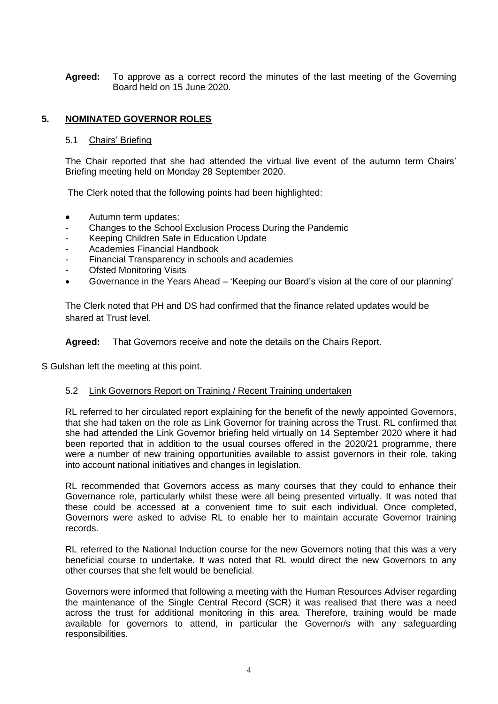**Agreed:** To approve as a correct record the minutes of the last meeting of the Governing Board held on 15 June 2020.

# **5. NOMINATED GOVERNOR ROLES**

### 5.1 Chairs' Briefing

The Chair reported that she had attended the virtual live event of the autumn term Chairs' Briefing meeting held on Monday 28 September 2020.

The Clerk noted that the following points had been highlighted:

- Autumn term updates:
- Changes to the School Exclusion Process During the Pandemic
- Keeping Children Safe in Education Update
- Academies Financial Handbook
- Financial Transparency in schools and academies
- **Ofsted Monitoring Visits**
- Governance in the Years Ahead 'Keeping our Board's vision at the core of our planning'

The Clerk noted that PH and DS had confirmed that the finance related updates would be shared at Trust level.

**Agreed:** That Governors receive and note the details on the Chairs Report.

S Gulshan left the meeting at this point.

#### 5.2 Link Governors Report on Training / Recent Training undertaken

RL referred to her circulated report explaining for the benefit of the newly appointed Governors, that she had taken on the role as Link Governor for training across the Trust. RL confirmed that she had attended the Link Governor briefing held virtually on 14 September 2020 where it had been reported that in addition to the usual courses offered in the 2020/21 programme, there were a number of new training opportunities available to assist governors in their role, taking into account national initiatives and changes in legislation.

RL recommended that Governors access as many courses that they could to enhance their Governance role, particularly whilst these were all being presented virtually. It was noted that these could be accessed at a convenient time to suit each individual. Once completed, Governors were asked to advise RL to enable her to maintain accurate Governor training records.

RL referred to the National Induction course for the new Governors noting that this was a very beneficial course to undertake. It was noted that RL would direct the new Governors to any other courses that she felt would be beneficial.

Governors were informed that following a meeting with the Human Resources Adviser regarding the maintenance of the Single Central Record (SCR) it was realised that there was a need across the trust for additional monitoring in this area. Therefore, training would be made available for governors to attend, in particular the Governor/s with any safeguarding responsibilities.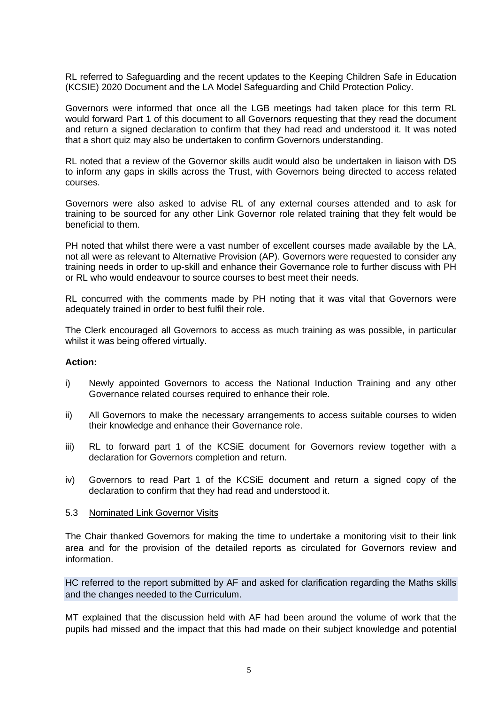RL referred to Safeguarding and the recent updates to the Keeping Children Safe in Education (KCSIE) 2020 Document and the LA Model Safeguarding and Child Protection Policy.

Governors were informed that once all the LGB meetings had taken place for this term RL would forward Part 1 of this document to all Governors requesting that they read the document and return a signed declaration to confirm that they had read and understood it. It was noted that a short quiz may also be undertaken to confirm Governors understanding.

RL noted that a review of the Governor skills audit would also be undertaken in liaison with DS to inform any gaps in skills across the Trust, with Governors being directed to access related courses.

Governors were also asked to advise RL of any external courses attended and to ask for training to be sourced for any other Link Governor role related training that they felt would be beneficial to them.

PH noted that whilst there were a vast number of excellent courses made available by the LA, not all were as relevant to Alternative Provision (AP). Governors were requested to consider any training needs in order to up-skill and enhance their Governance role to further discuss with PH or RL who would endeavour to source courses to best meet their needs.

RL concurred with the comments made by PH noting that it was vital that Governors were adequately trained in order to best fulfil their role.

The Clerk encouraged all Governors to access as much training as was possible, in particular whilst it was being offered virtually.

### **Action:**

- i) Newly appointed Governors to access the National Induction Training and any other Governance related courses required to enhance their role.
- ii) All Governors to make the necessary arrangements to access suitable courses to widen their knowledge and enhance their Governance role.
- iii) RL to forward part 1 of the KCSiE document for Governors review together with a declaration for Governors completion and return.
- iv) Governors to read Part 1 of the KCSiE document and return a signed copy of the declaration to confirm that they had read and understood it.
- 5.3 Nominated Link Governor Visits

The Chair thanked Governors for making the time to undertake a monitoring visit to their link area and for the provision of the detailed reports as circulated for Governors review and information.

HC referred to the report submitted by AF and asked for clarification regarding the Maths skills and the changes needed to the Curriculum.

MT explained that the discussion held with AF had been around the volume of work that the pupils had missed and the impact that this had made on their subject knowledge and potential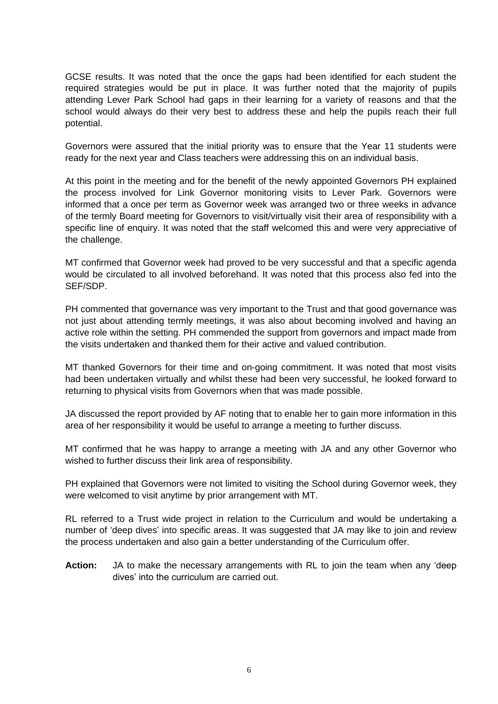GCSE results. It was noted that the once the gaps had been identified for each student the required strategies would be put in place. It was further noted that the majority of pupils attending Lever Park School had gaps in their learning for a variety of reasons and that the school would always do their very best to address these and help the pupils reach their full potential.

Governors were assured that the initial priority was to ensure that the Year 11 students were ready for the next year and Class teachers were addressing this on an individual basis.

At this point in the meeting and for the benefit of the newly appointed Governors PH explained the process involved for Link Governor monitoring visits to Lever Park. Governors were informed that a once per term as Governor week was arranged two or three weeks in advance of the termly Board meeting for Governors to visit/virtually visit their area of responsibility with a specific line of enquiry. It was noted that the staff welcomed this and were very appreciative of the challenge.

MT confirmed that Governor week had proved to be very successful and that a specific agenda would be circulated to all involved beforehand. It was noted that this process also fed into the SEF/SDP.

PH commented that governance was very important to the Trust and that good governance was not just about attending termly meetings, it was also about becoming involved and having an active role within the setting. PH commended the support from governors and impact made from the visits undertaken and thanked them for their active and valued contribution.

MT thanked Governors for their time and on-going commitment. It was noted that most visits had been undertaken virtually and whilst these had been very successful, he looked forward to returning to physical visits from Governors when that was made possible.

JA discussed the report provided by AF noting that to enable her to gain more information in this area of her responsibility it would be useful to arrange a meeting to further discuss.

MT confirmed that he was happy to arrange a meeting with JA and any other Governor who wished to further discuss their link area of responsibility.

PH explained that Governors were not limited to visiting the School during Governor week, they were welcomed to visit anytime by prior arrangement with MT.

RL referred to a Trust wide project in relation to the Curriculum and would be undertaking a number of 'deep dives' into specific areas. It was suggested that JA may like to join and review the process undertaken and also gain a better understanding of the Curriculum offer.

**Action:** JA to make the necessary arrangements with RL to join the team when any 'deep dives' into the curriculum are carried out.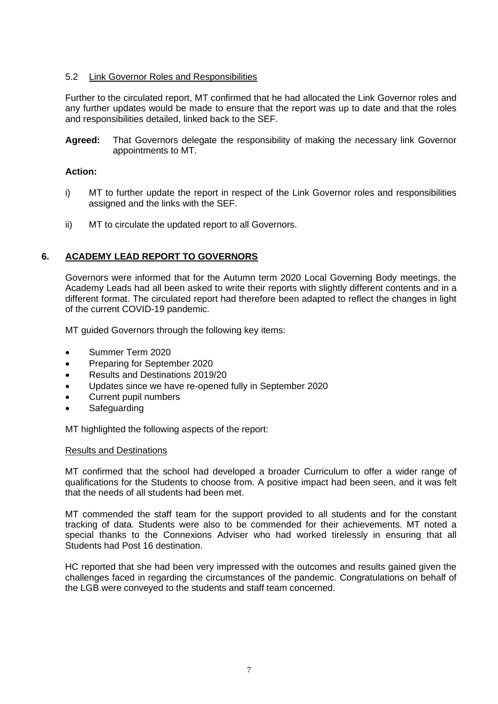# 5.2 Link Governor Roles and Responsibilities

Further to the circulated report, MT confirmed that he had allocated the Link Governor roles and any further updates would be made to ensure that the report was up to date and that the roles and responsibilities detailed, linked back to the SEF.

**Agreed:** That Governors delegate the responsibility of making the necessary link Governor appointments to MT.

# **Action:**

- i) MT to further update the report in respect of the Link Governor roles and responsibilities assigned and the links with the SEF.
- ii) MT to circulate the updated report to all Governors.

# **6. ACADEMY LEAD REPORT TO GOVERNORS**

Governors were informed that for the Autumn term 2020 Local Governing Body meetings, the Academy Leads had all been asked to write their reports with slightly different contents and in a different format. The circulated report had therefore been adapted to reflect the changes in light of the current COVID-19 pandemic.

MT guided Governors through the following key items:

- Summer Term 2020
- Preparing for September 2020
- Results and Destinations 2019/20
- Updates since we have re-opened fully in September 2020
- Current pupil numbers
- **Safeguarding**

MT highlighted the following aspects of the report:

#### Results and Destinations

MT confirmed that the school had developed a broader Curriculum to offer a wider range of qualifications for the Students to choose from. A positive impact had been seen, and it was felt that the needs of all students had been met.

MT commended the staff team for the support provided to all students and for the constant tracking of data. Students were also to be commended for their achievements. MT noted a special thanks to the Connexions Adviser who had worked tirelessly in ensuring that all Students had Post 16 destination.

HC reported that she had been very impressed with the outcomes and results gained given the challenges faced in regarding the circumstances of the pandemic. Congratulations on behalf of the LGB were conveyed to the students and staff team concerned.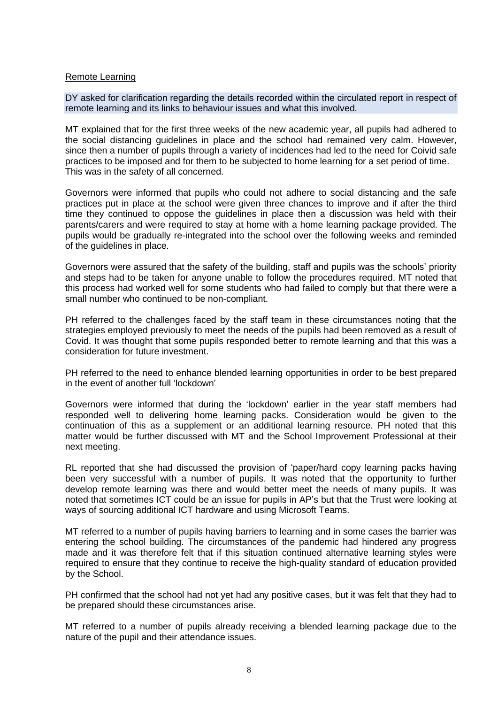### Remote Learning

DY asked for clarification regarding the details recorded within the circulated report in respect of remote learning and its links to behaviour issues and what this involved.

MT explained that for the first three weeks of the new academic year, all pupils had adhered to the social distancing guidelines in place and the school had remained very calm. However, since then a number of pupils through a variety of incidences had led to the need for Coivid safe practices to be imposed and for them to be subjected to home learning for a set period of time. This was in the safety of all concerned.

Governors were informed that pupils who could not adhere to social distancing and the safe practices put in place at the school were given three chances to improve and if after the third time they continued to oppose the guidelines in place then a discussion was held with their parents/carers and were required to stay at home with a home learning package provided. The pupils would be gradually re-integrated into the school over the following weeks and reminded of the guidelines in place.

Governors were assured that the safety of the building, staff and pupils was the schools' priority and steps had to be taken for anyone unable to follow the procedures required. MT noted that this process had worked well for some students who had failed to comply but that there were a small number who continued to be non-compliant.

PH referred to the challenges faced by the staff team in these circumstances noting that the strategies employed previously to meet the needs of the pupils had been removed as a result of Covid. It was thought that some pupils responded better to remote learning and that this was a consideration for future investment.

PH referred to the need to enhance blended learning opportunities in order to be best prepared in the event of another full 'lockdown'

Governors were informed that during the 'lockdown' earlier in the year staff members had responded well to delivering home learning packs. Consideration would be given to the continuation of this as a supplement or an additional learning resource. PH noted that this matter would be further discussed with MT and the School Improvement Professional at their next meeting.

RL reported that she had discussed the provision of 'paper/hard copy learning packs having been very successful with a number of pupils. It was noted that the opportunity to further develop remote learning was there and would better meet the needs of many pupils. It was noted that sometimes ICT could be an issue for pupils in AP's but that the Trust were looking at ways of sourcing additional ICT hardware and using Microsoft Teams.

MT referred to a number of pupils having barriers to learning and in some cases the barrier was entering the school building. The circumstances of the pandemic had hindered any progress made and it was therefore felt that if this situation continued alternative learning styles were required to ensure that they continue to receive the high-quality standard of education provided by the School.

PH confirmed that the school had not yet had any positive cases, but it was felt that they had to be prepared should these circumstances arise.

MT referred to a number of pupils already receiving a blended learning package due to the nature of the pupil and their attendance issues.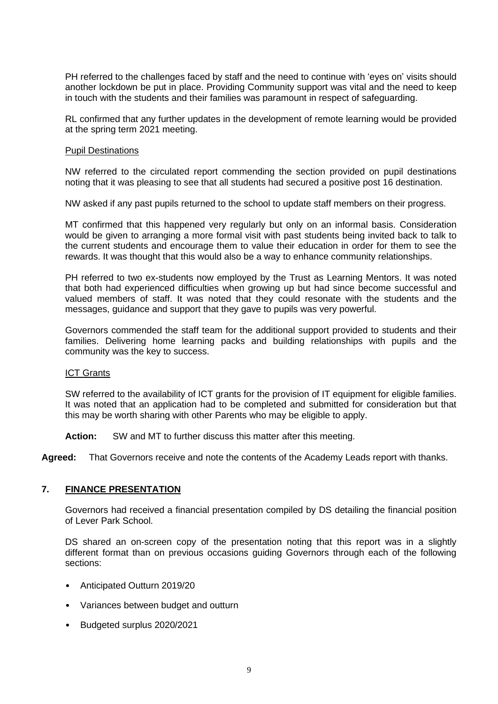PH referred to the challenges faced by staff and the need to continue with 'eyes on' visits should another lockdown be put in place. Providing Community support was vital and the need to keep in touch with the students and their families was paramount in respect of safeguarding.

RL confirmed that any further updates in the development of remote learning would be provided at the spring term 2021 meeting.

### Pupil Destinations

NW referred to the circulated report commending the section provided on pupil destinations noting that it was pleasing to see that all students had secured a positive post 16 destination.

NW asked if any past pupils returned to the school to update staff members on their progress.

MT confirmed that this happened very regularly but only on an informal basis. Consideration would be given to arranging a more formal visit with past students being invited back to talk to the current students and encourage them to value their education in order for them to see the rewards. It was thought that this would also be a way to enhance community relationships.

PH referred to two ex-students now employed by the Trust as Learning Mentors. It was noted that both had experienced difficulties when growing up but had since become successful and valued members of staff. It was noted that they could resonate with the students and the messages, guidance and support that they gave to pupils was very powerful.

Governors commended the staff team for the additional support provided to students and their families. Delivering home learning packs and building relationships with pupils and the community was the key to success.

### ICT Grants

SW referred to the availability of ICT grants for the provision of IT equipment for eligible families. It was noted that an application had to be completed and submitted for consideration but that this may be worth sharing with other Parents who may be eligible to apply.

**Action:** SW and MT to further discuss this matter after this meeting.

**Agreed:** That Governors receive and note the contents of the Academy Leads report with thanks.

# **7. FINANCE PRESENTATION**

Governors had received a financial presentation compiled by DS detailing the financial position of Lever Park School.

DS shared an on-screen copy of the presentation noting that this report was in a slightly different format than on previous occasions guiding Governors through each of the following sections:

- Anticipated Outturn 2019/20
- Variances between budget and outturn
- Budgeted surplus 2020/2021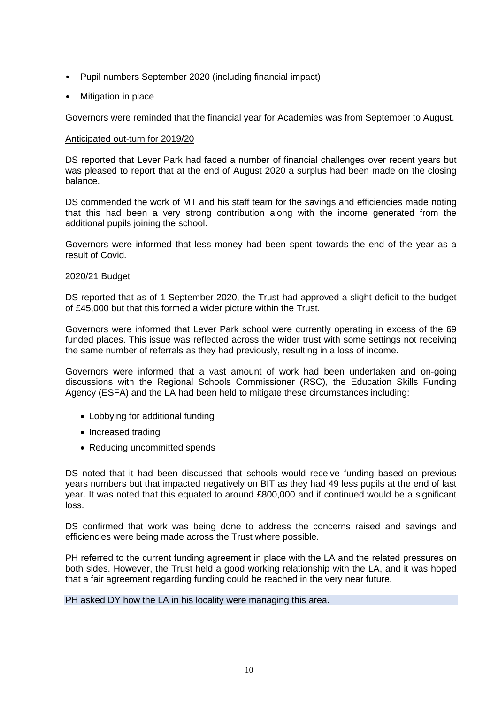- Pupil numbers September 2020 (including financial impact)
- Mitigation in place

Governors were reminded that the financial year for Academies was from September to August.

### Anticipated out-turn for 2019/20

DS reported that Lever Park had faced a number of financial challenges over recent years but was pleased to report that at the end of August 2020 a surplus had been made on the closing balance.

DS commended the work of MT and his staff team for the savings and efficiencies made noting that this had been a very strong contribution along with the income generated from the additional pupils joining the school.

Governors were informed that less money had been spent towards the end of the year as a result of Covid.

### 2020/21 Budget

DS reported that as of 1 September 2020, the Trust had approved a slight deficit to the budget of £45,000 but that this formed a wider picture within the Trust.

Governors were informed that Lever Park school were currently operating in excess of the 69 funded places. This issue was reflected across the wider trust with some settings not receiving the same number of referrals as they had previously, resulting in a loss of income.

Governors were informed that a vast amount of work had been undertaken and on-going discussions with the Regional Schools Commissioner (RSC), the Education Skills Funding Agency (ESFA) and the LA had been held to mitigate these circumstances including:

- Lobbying for additional funding
- Increased trading
- Reducing uncommitted spends

DS noted that it had been discussed that schools would receive funding based on previous years numbers but that impacted negatively on BIT as they had 49 less pupils at the end of last year. It was noted that this equated to around £800,000 and if continued would be a significant loss.

DS confirmed that work was being done to address the concerns raised and savings and efficiencies were being made across the Trust where possible.

PH referred to the current funding agreement in place with the LA and the related pressures on both sides. However, the Trust held a good working relationship with the LA, and it was hoped that a fair agreement regarding funding could be reached in the very near future.

PH asked DY how the LA in his locality were managing this area.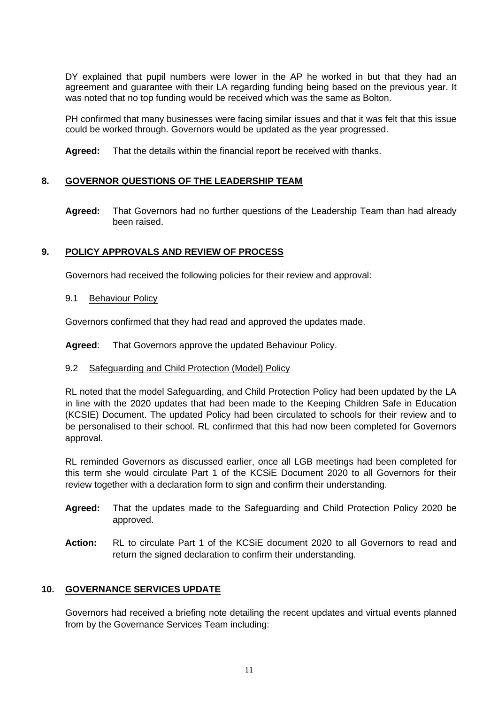DY explained that pupil numbers were lower in the AP he worked in but that they had an agreement and guarantee with their LA regarding funding being based on the previous year. It was noted that no top funding would be received which was the same as Bolton.

PH confirmed that many businesses were facing similar issues and that it was felt that this issue could be worked through. Governors would be updated as the year progressed.

**Agreed:** That the details within the financial report be received with thanks.

# **8. GOVERNOR QUESTIONS OF THE LEADERSHIP TEAM**

**Agreed:** That Governors had no further questions of the Leadership Team than had already been raised.

# **9. POLICY APPROVALS AND REVIEW OF PROCESS**

Governors had received the following policies for their review and approval:

9.1 Behaviour Policy

Governors confirmed that they had read and approved the updates made.

**Agreed**: That Governors approve the updated Behaviour Policy.

# 9.2 Safeguarding and Child Protection (Model) Policy

RL noted that the model Safeguarding, and Child Protection Policy had been updated by the LA in line with the 2020 updates that had been made to the Keeping Children Safe in Education (KCSIE) Document. The updated Policy had been circulated to schools for their review and to be personalised to their school. RL confirmed that this had now been completed for Governors approval.

RL reminded Governors as discussed earlier, once all LGB meetings had been completed for this term she would circulate Part 1 of the KCSiE Document 2020 to all Governors for their review together with a declaration form to sign and confirm their understanding.

- **Agreed:** That the updates made to the Safeguarding and Child Protection Policy 2020 be approved.
- **Action:** RL to circulate Part 1 of the KCSiE document 2020 to all Governors to read and return the signed declaration to confirm their understanding.

# **10. GOVERNANCE SERVICES UPDATE**

Governors had received a briefing note detailing the recent updates and virtual events planned from by the Governance Services Team including: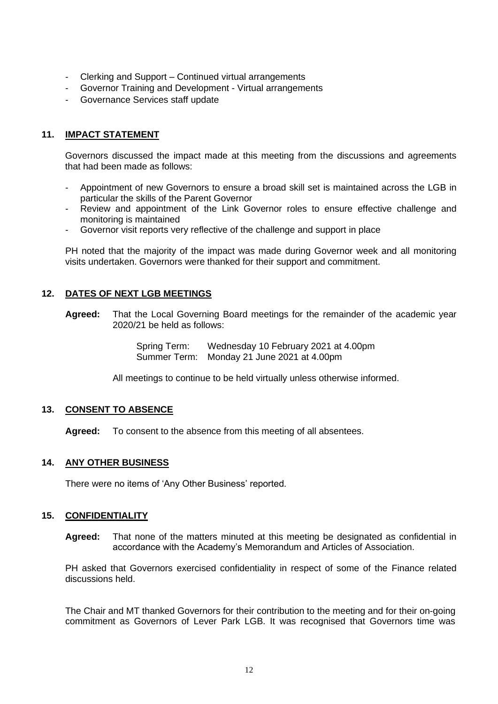- Clerking and Support Continued virtual arrangements
- Governor Training and Development Virtual arrangements
- Governance Services staff update

# **11. IMPACT STATEMENT**

Governors discussed the impact made at this meeting from the discussions and agreements that had been made as follows:

- Appointment of new Governors to ensure a broad skill set is maintained across the LGB in particular the skills of the Parent Governor
- Review and appointment of the Link Governor roles to ensure effective challenge and monitoring is maintained
- Governor visit reports very reflective of the challenge and support in place

PH noted that the majority of the impact was made during Governor week and all monitoring visits undertaken. Governors were thanked for their support and commitment.

# **12. DATES OF NEXT LGB MEETINGS**

**Agreed:** That the Local Governing Board meetings for the remainder of the academic year 2020/21 be held as follows:

> Spring Term: Wednesday 10 February 2021 at 4.00pm Summer Term: Monday 21 June 2021 at 4.00pm

All meetings to continue to be held virtually unless otherwise informed.

# **13. CONSENT TO ABSENCE**

**Agreed:** To consent to the absence from this meeting of all absentees.

# **14. ANY OTHER BUSINESS**

There were no items of 'Any Other Business' reported.

# **15. CONFIDENTIALITY**

**Agreed:** That none of the matters minuted at this meeting be designated as confidential in accordance with the Academy's Memorandum and Articles of Association.

PH asked that Governors exercised confidentiality in respect of some of the Finance related discussions held.

The Chair and MT thanked Governors for their contribution to the meeting and for their on-going commitment as Governors of Lever Park LGB. It was recognised that Governors time was